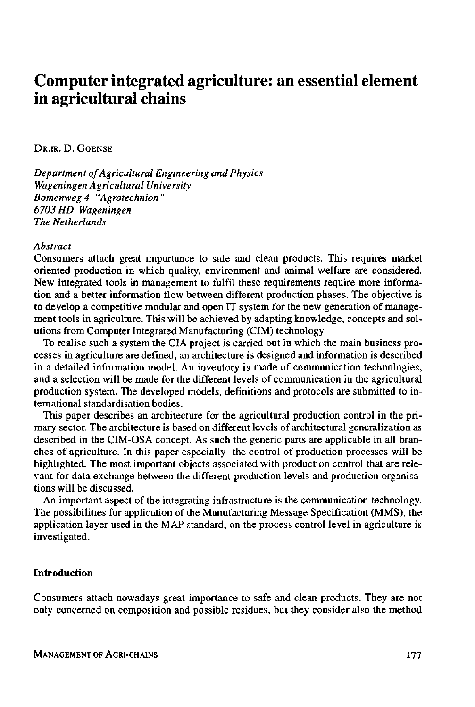# **Computer integrated agriculture: an essential element in agricultural chains**

DR.IR. D. GOENSE

*Department of Agricultural Engineering and Physics Wageningen Agricultural University Bomenweg 4 "Agrotechnion " 6703 HD Wageningen The Netherlands* 

#### *Abstract*

Consumers attach great importance to safe and clean products. This requires market oriented production in which quality, environment and animal welfare are considered. New integrated tools in management to fulfil these requirements require more information and a better information flow between different production phases. The objective is to develop a competitive modular and open IT system for the new generation of management tools in agriculture. This will be achieved by adapting knowledge, concepts and solutions from Computer Integrated Manufacturing (CIM) technology.

To realise such a system the CIA project is carried out in which the main business processes in agriculture are defined, an architecture is designed and information is described in a detailed information model. An inventory is made of communication technologies, and a selection will be made for the different levels of communication in the agricultural production system. The developed models, definitions and protocols are submitted to international standardisation bodies.

This paper describes an architecture for the agricultural production control in the primary sector. The architecture is based on different levels of architectural generalization as described in the CIM-OSA concept. As such the generic parts are applicable in all branches of agriculture. In this paper especially the control of production processes will be highlighted. The most important objects associated with production control that are relevant for data exchange between the different production levels and production organisations will be discussed.

An important aspect of the integrating infrastructure is the communication technology. The possibilities for application of the Manufacturing Message Specification (MMS), the application layer used in the MAP standard, on the process control level in agriculture is investigated.

## Introduction

Consumers attach nowadays great importance to safe and clean products. They are not only concerned on composition and possible residues, but they consider also the method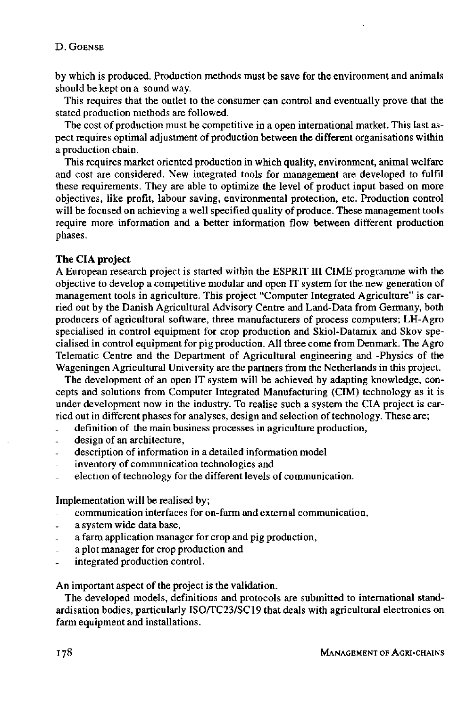## D.GOENSE

by which is produced. Production methods must be save for the environment and animals should be kept on a sound way.

This requires that the outlet to the consumer can control and eventually prove that the stated production methods are followed.

The cost of production must be competitive in a open international market. This last aspect requires optimal adjustment of production between the different organisations within a production chain.

This requires market oriented production in which quality, environment, animal welfare and cost are considered. New integrated tools for management are developed to fulfil these requirements. They are able to optimize the level of product input based on more objectives, like profit, labour saving, environmental protection, etc. Production control will be focused on achieving a well specified quality of produce. These management tools require more information and a better information flow between different production phases.

## **The CIA project**

A European research project is started within the ESPRIT III CIME programme with the objective to develop a competitive modular and open IT system for the new generation of management tools in agriculture. This project "Computer Integrated Agriculture" is carried out by the Danish Agricultural Advisory Centre and Land-Data from Germany, both producers of agricultural software, three manufacturers of process computers; LH-Agro specialised in control equipment for crop production and Skiol-Datamix and Skov specialised in control equipment for pig production. All three come from Denmark. The Agro Telematic Centre and the Department of Agricultural engineering and -Physics of the Wageningen Agricultural University are the partners from the Netherlands in this project.

The development of an open IT system will be achieved by adapting knowledge, concepts and solutions from Computer Integrated Manufacturing (CIM) technology as it is under development now in the industry. To realise such a system the CIA project is carried out in different phases for analyses, design and selection of technology. These are;

- definition of the main business processes in agriculture production,
- design of an architecture,
- description of information in a detailed information model
- inventory of communication technologies and
- election of technology for the different levels of communication.

Implementation will be realised by;

- communication interfaces for on-farm and external communication,
- a system wide data base,
- a farm application manager for crop and pig production,
- a plot manager for crop production and
- integrated production control.

An important aspect of the project is the validation.

The developed models, definitions and protocols are submitted to international standardisation bodies, particularly ISO/TC23/SC19 that deals with agricultural electronics on farm equipment and installations.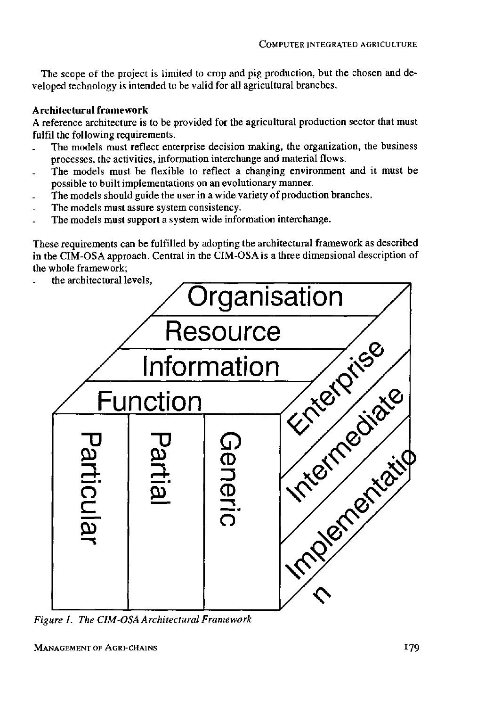The scope of the project is limited to crop and pig production, but the chosen and developed technology is intended to be valid for all agricultural branches.

## **Architectural framework**

A reference architecture is to be provided for the agricultural production sector that must fulfil the following requirements.

- The models must reflect enterprise decision making, the organization, the business processes, the activities, information interchange and material flows.
- The models must be flexible to reflect a changing environment and it must be possible to built implementations on an evolutionary manner.
- The models should guide the user in a wide variety of production branches.
- The models must assure system consistency.
- The models must support a system wide information interchange.

These requirements can be fulfilled by adopting the architectural framework as described in the CIM-OSA approach. Central in the CIM-OSA is a three dimensional description of the whole framework;

the architectural levels,



*Figure 1. The CIM-OSA Architectural Framework*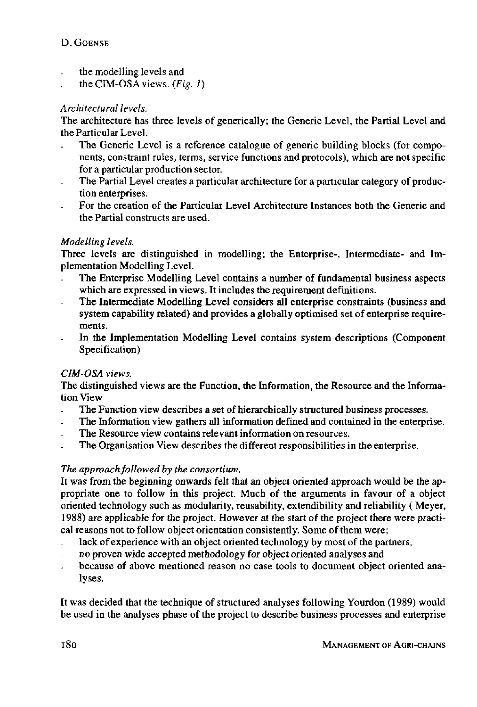- the modelling levels and
- the CIM-OSA views. (Fig. 1)

# *Architectural levels.*

The architecture has three levels of generically; the Generic Level, the Partial Level and the Particular Level.

- The Generic Level is a reference catalogue of generic building blocks (for components, constraint rules, terms, service functions and protocols), which are not specific for a particular production sector.
- The Partial Level creates a particular architecture for a particular category of production enterprises.
- For the creation of the Particular Level Architecture Instances both the Generic and the Partial constructs are used.

# *Modelling levels.*

Three levels are distinguished in modelling; the Enterprise-, Intermediate- and Implementation Modelling Level.

- The Enterprise Modelling Level contains a number of fundamental business aspects which are expressed in views. It includes the requirement definitions.
- The Intermediate Modelling Level considers all enterprise constraints (business and system capability related) and provides a globally optimised set of enterprise requirements.
- In the Implementation Modelling Level contains system descriptions (Component Specification)

# *CIM-OSA views.*

The distinguished views are the Function, the Information, the Resource and the Information View

- The Function view describes a set of hierarchically structured business processes.
- The Information view gathers all information defined and contained in the enterprise.
- The Resource view contains relevant information on resources.
- The Organisation View describes the different responsibilities in the enterprise.

# *The approach followed by the consortium.*

It was from the beginning onwards felt that an object oriented approach would be the appropriate one to follow in this project. Much of the arguments in favour of a object oriented technology such as modularity, reusability, extendibility and reliability ( Meyer, 1988) are applicable for the project. However at the start of the project there were practical reasons not to follow object orientation consistently. Some of them were;

- lack of experience with an object oriented technology by most of the partners,
- no proven wide accepted methodology for object oriented analyses and
- because of above mentioned reason no case tools to document object oriented analyses.

It was decided that the technique of structured analyses following Yourdon (1989) would be used in the analyses phase of the project to describe business processes and enterprise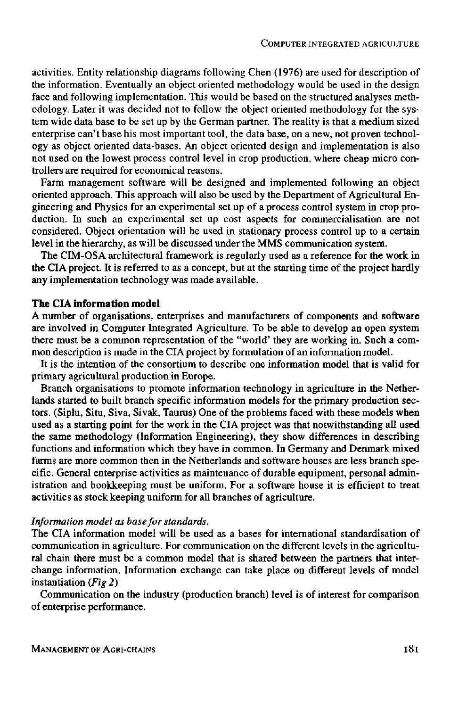activities. Entity relationship diagrams following Chen (1976) are used for description of the information. Eventually an object oriented methodology would be used in the design face and following implementation. This would be based on the structured analyses methodology. Later it was decided not to follow the object oriented methodology for the system wide data base to be set up by the German partner. The reality is that a medium sized enterprise can't base his most important tool, the data base, on a new, not proven technology as object oriented data-bases. An object oriented design and implementation is also not used on the lowest process control level in crop production, where cheap micro controllers are required for economical reasons.

Farm management software will be designed and implemented following an object oriented approach. This approach will also be used by the Department of Agricultural Engineering and Physics for an experimental set up of a process control system in crop production. In such an experimental set up cost aspects for commercialisation are not considered. Object orientation will be used in stationary process control up to a certain level in the hierarchy, as will be discussed under the MMS communication system.

The CIM-OSA architectural framework is regularly used as a reference for the work in the CIA project. It is referred to as a concept, but at the starting time of the project hardly any implementation technology was made available.

#### **The CIA information model**

A number of organisations, enterprises and manufacturers of components and software are involved in Computer Integrated Agriculture. To be able to develop an open system there must be a common representation of the "world' they are working in. Such a common description is made in the CIA project by formulation of an information model.

It is the intention of the consortium to describe one information model that is valid for primary agricultural production in Europe.

Branch organisations to promote information technology in agriculture in the Netherlands started to built branch specific information models for the primary production sectors. (Siplu, Situ, Siva, Sivak, Taurus) One of the problems faced with these models when used as a starting point for the work in the CIA project was that notwithstanding all used the same methodology (Information Engineering), they show differences in describing functions and information which they have in common. In Germany and Denmark mixed farms are more common then in the Netherlands and software houses are less branch specific. General enterprise activities as maintenance of durable equipment, personal administration and bookkeeping must be uniform. For a software house it is efficient to treat activities as stock keeping uniform for all branches of agriculture.

#### *Information model as base for standards.*

The CIA information model will be used as a bases for international standardisation of communication in agriculture. For communication on the different levels in the agricultural chain there must be a common model that is shared between the partners that interchange information. Information exchange can take place on different levels of model instantiation *(Fig 2)* 

Communication on the industry (production branch) level is of interest for comparison of enterprise performance.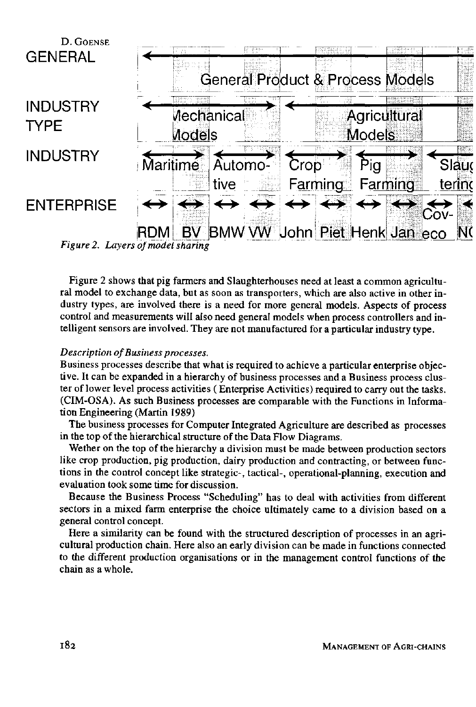

*Figure 2. Layers of model sharing* 

Figure 2 shows that pig farmers and Slaughterhouses need at least a common agricultural model to exchange data, but as soon as transporters, which are also active in other industry types, are involved there is a need for more general models. Aspects of process control and measurements will also need general models when process controllers and intelligent sensors are involved. They are not manufactured for a particular industry type.

## *Description of Business processes.*

Business processes describe that what is required to achieve a particular enterprise objective. It can be expanded in a hierarchy of business processes and a Business process cluster of lower level process activities ( Enterprise Activities) required to carry out the tasks. (CIM-OSA). As such Business processes are comparable with the Functions in Information Engineering (Martin 1989)

The business processes for Computer Integrated Agriculture are described as processes in the top of the hierarchical structure of the Data Flow Diagrams.

Wether on the top of the hierarchy a division must be made between production sectors like crop production, pig production, dairy production and contracting, or between functions in the control concept like strategic-, tactical-, operational-planning, execution and evaluation took some time for discussion.

Because the Business Process "Scheduling" has to deal with activities from different sectors in a mixed farm enterprise the choice ultimately came to a division based on a general control concept.

Here a similarity can be found with the structured description of processes in an agricultural production chain. Here also an early division can be made in functions connected to the different production organisations or in the management control functions of the chain as a whole.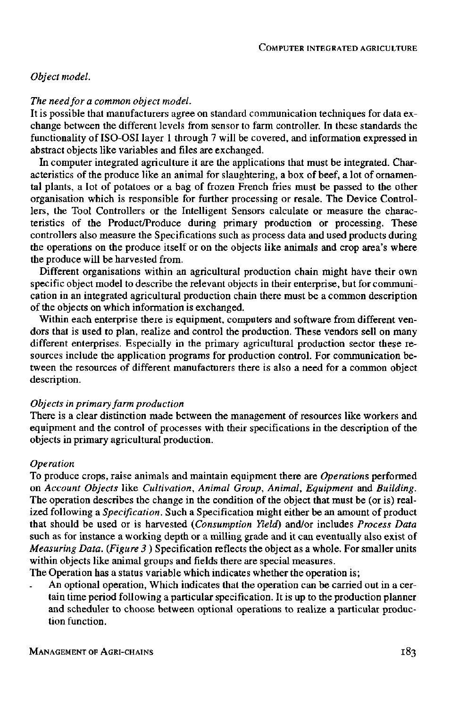#### *Object model.*

#### *The need for a common object model.*

It is possible that manufacturers agree on standard communication techniques for data exchange between the different levels from sensor to farm controller. In these standards the functionality of ISO-OSI layer 1 through 7 will be covered, and information expressed in abstract objects like variables and files are exchanged.

In computer integrated agriculture it are the applications that must be integrated. Characteristics of the produce like an animal for slaughtering, a box of beef, a lot of ornamental plants, a lot of potatoes or a bag of frozen French fries must be passed to the other organisation which is responsible for further processing or resale. The Device Controllers, the Tool Controllers or the Intelligent Sensors calculate or measure the characteristics of the Product/Produce during primary production or processing. These controllers also measure the Specifications such as process data and used products during the operations on the produce itself or on the objects like animals and crop area's where the produce will be harvested from.

Different organisations within an agricultural production chain might have their own specific object model to describe the relevant objects in their enterprise, but for communication in an integrated agricultural production chain there must be a common description of the objects on which information is exchanged.

Within each enterprise there is equipment, computers and software from different vendors that is used to plan, realize and control the production. These vendors sell on many different enterprises. Especially in the primary agricultural production sector these resources include the application programs for production control. For communication between the resources of different manufacturers there is also a need for a common object description.

#### *Objects in primary farm production*

There is a clear distinction made between the management of resources like workers and equipment and the control of processes with their specifications in the description of the objects in primary agricultural production.

#### *Operation*

To produce crops, raise animals and maintain equipment there are *Operations* performed on *Account Objects* like *Cultivation, Animal Group, Animal, Equipment* and *Building.*  The operation describes the change in the condition of the object that must be (or is) realized following a *Specification.* Such a Specification might either be an amount of product that should be used or is harvested *{Consumption Yield)* and/or includes *Process Data*  such as for instance a working depth or a milling grade and it can eventually also exist of *Measuring Data. {Figure 3* ) Specification reflects the object as a whole. For smaller units within objects like animal groups and fields there are special measures.

The Operation has a status variable which indicates whether the operation is;

An optional operation, Which indicates that the operation can be carried out in a certain time period following a particular specification. It is up to the production planner and scheduler to choose between optional operations to realize a particular production function.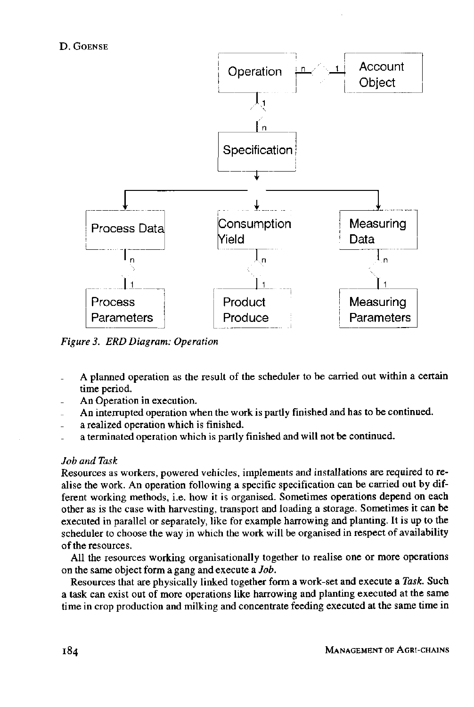

*Figure 3. ERD Diagram: Operation* 

- A planned operation as the result of the scheduler to be carried out within a certain time period.
- An Operation in execution.
- An interrupted operation when the work is partly finished and has to be continued.
- a realized operation which is finished.
- a terminated operation which is partly finished and will not be continued.

#### *Job and Task*

Resources as workers, powered vehicles, implements and installations are required to realise the work. An operation following a specific specification can be carried out by different working methods, i.e. how it is organised. Sometimes operations depend on each other as is the case with harvesting, transport and loading a storage. Sometimes it can be executed in parallel or separately, like for example harrowing and planting. It is up to the scheduler to choose the way in which the work will be organised in respect of availability of the resources.

All the resources working organisationally together to realise one or more operations on the same object form a gang and execute a *Job.* 

Resources that are physically linked together form a work-set and execute a *Task.* Such a task can exist out of more operations like harrowing and planting executed at the same time in crop production and milking and concentrate feeding executed at the same time in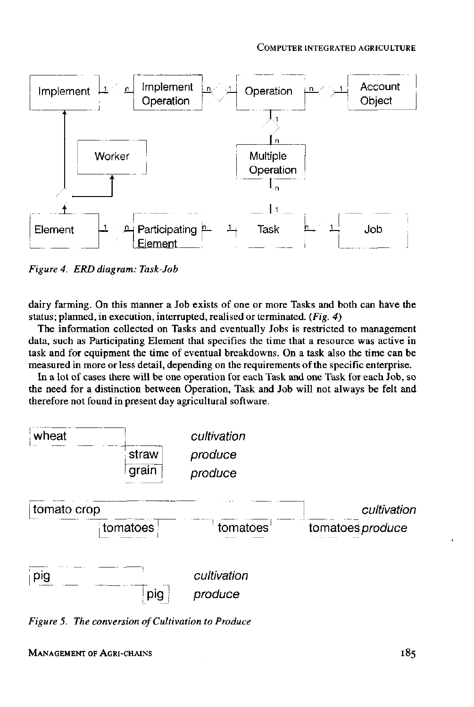

*Figure 4. ERD diagram: Task-Job* 

dairy farming. On this manner a Job exists of one or more Tasks and both can have the status; planned, in execution, interrupted, realised or terminated. *(Fig. 4)* 

The information collected on Tasks and eventually Jobs is restricted to management data, such as Participating Element that specifies the time that a resource was active in task and for equipment the time of eventual breakdowns. On a task also the time can be measured in more or less detail, depending on the requirements of the specific enterprise.

In a lot of cases there will be one operation for each Task and one Task for each Job, so the need for a distinction between Operation, Task and Job will not always be felt and therefore not found in present day agricultural software.



*Figure 5. The conversion of Cultivation to Produce*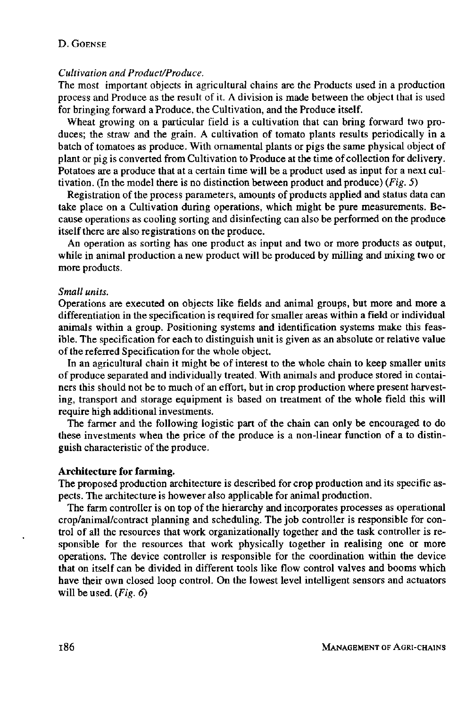## D . GOENSE

## *Cultivation and Product/Produce.*

The most important objects in agricultural chains are the Products used in a production process and Produce as the result of it. A division is made between the object that is used for bringing forward a Produce, the Cultivation, and the Produce itself.

Wheat growing on a particular field is a cultivation that can bring forward two produces; the straw and the grain. A cultivation of tomato plants results periodically in a batch of tomatoes as produce. With ornamental plants or pigs the same physical object of plant or pig is converted from Cultivation to Produce at the time of collection for delivery. Potatoes are a produce that at a certain time will be a product used as input for a next cultivation. (In the model there is no distinction between product and produce) *(Fig. 5)* 

Registration of the process parameters, amounts of products applied and status data can take place on a Cultivation during operations, which might be pure measurements. Because operations as cooling sorting and disinfecting can also be performed on the produce itself there are also registrations on the produce.

An operation as sorting has one product as input and two or more products as output, while in animal production a new product will be produced by milling and mixing two or more products.

#### *Small units.*

Operations are executed on objects like fields and animal groups, but more and more a differentiation in the specification is required for smaller areas within a field or individual animals within a group. Positioning systems and identification systems make this feasible. The specification for each to distinguish unit is given as an absolute or relative value of the referred Specification for the whole object.

In an agricultural chain it might be of interest to the whole chain to keep smaller units of produce separated and individually treated. With animals and produce stored in containers this should not be to much of an effort, but in crop production where present harvesting, transport and storage equipment is based on treatment of the whole field this will require high additional investments.

The farmer and the following logistic part of the chain can only be encouraged to do these investments when the price of the produce is a non-linear function of a to distinguish characteristic of the produce.

#### **Architecture for farming.**

The proposed production architecture is described for crop production and its specific aspects. The architecture is however also applicable for animal production.

The farm controller is on top of the hierarchy and incorporates processes as operational crop/animal/contract planning and scheduling. The job controller is responsible for control of all the resources that work organizationally together and the task controller is responsible for the resources that work physically together in realising one or more operations. The device controller is responsible for the coordination within the device that on itself can be divided in different tools like flow control valves and booms which have their own closed loop control. On the lowest level intelligent sensors and actuators will be used. *(Fig. 6)*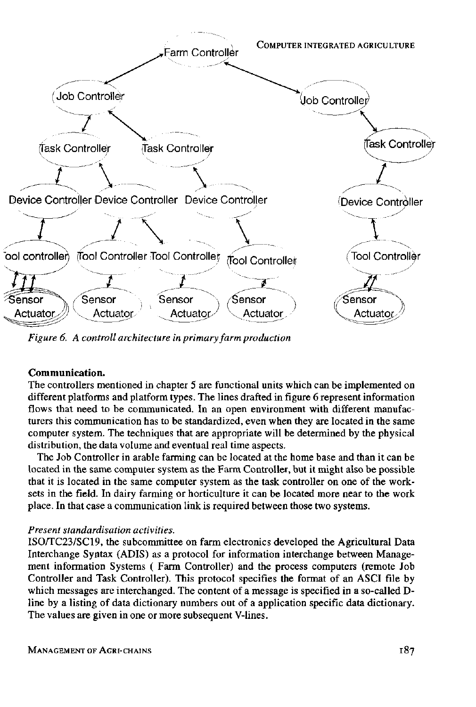

*Figure 6. A controll architecture in primary farm production* 

#### **Communication.**

The controllers mentioned in chapter 5 are functional units which can be implemented on different platforms and platform types. The lines drafted in figure 6 represent information flows that need to be communicated. In an open environment with different manufacturers this communication has to be standardized, even when they are located in the same computer system. The techniques that are appropriate will be determined by the physical distribution, the data volume and eventual real time aspects.

The Job Controller in arable farming can be located at the home base and than it can be located in the same computer system as the Farm Controller, but it might also be possible that it is located in the same computer system as the task controller on one of the worksets in the field. In dairy farming or horticulture it can be located more near to the work place. In that case a communication link is required between those two systems.

#### *Present standardisation activities.*

ISO/TC23/SC19, the subcommittee on farm electronics developed the Agricultural Data Interchange Syntax (ADIS) as a protocol for information interchange between Management information Systems ( Farm Controller) and the process computers (remote Job Controller and Task Controller). This protocol specifies the format of an ASCI file by which messages are interchanged. The content of a message is specified in a so-called Dline by a listing of data dictionary numbers out of a application specific data dictionary. The values are given in one or more subsequent V-lines.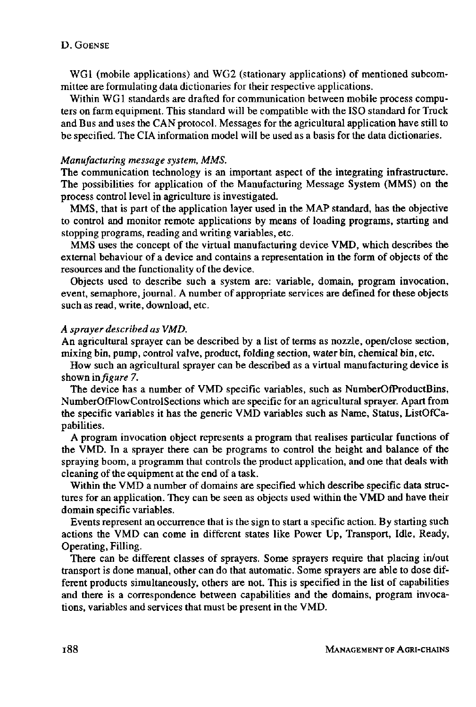## D. GOENSE

WG1 (mobile applications) and WG2 (stationary applications) of mentioned subcommittee are formulating data dictionaries for their respective applications.

Within WG1 standards are drafted for communication between mobile process computers on farm equipment. This standard will be compatible with the ISO standard for Truck and Bus and uses the CAN protocol. Messages for the agricultural application have still to be specified. The CIA information model will be used as a basis for the data dictionaries.

#### *Manufacturing message system, MMS.*

The communication technology is an important aspect of the integrating infrastructure. The possibilities for application of the Manufacturing Message System (MMS) on the process control level in agriculture is investigated.

MMS, that is part of the application layer used in the MAP standard, has the objective to control and monitor remote applications by means of loading programs, starting and stopping programs, reading and writing variables, etc.

MMS uses the concept of the virtual manufacturing device VMD, which describes the external behaviour of a device and contains a representation in the form of objects of the resources and the functionality of the device.

Objects used to describe such a system are: variable, domain, program invocation, event, semaphore, journal. A number of appropriate services are defined for these objects such as read, write, download, etc.

#### *A sprayer described as VMD.*

An agricultural sprayer can be described by a list of terms as nozzle, open/close section, mixing bin, pump, control valve, product, folding section, water bin, chemical bin, etc.

How such an agricultural sprayer can be described as a virtual manufacturing device is shown in *figure 7.* 

The device has a number of VMD specific variables, such as NumberOfProductBins, NumberOfFlowControlSections which are specific for an agricultural sprayer. Apart from the specific variables it has the generic VMD variables such as Name, Status, ListOfCapabilities.

A program invocation object represents a program that realises particular functions of the VMD. In a sprayer there can be programs to control the height and balance of the spraying boom, a programm that controls the product application, and one that deals with cleaning of the equipment at the end of a task.

Within the VMD a number of domains are specified which describe specific data structures for an application. They can be seen as objects used within the VMD and have their domain specific variables.

Events represent an occurrence that is the sign to start a specific action. By starting such actions the VMD can come in different states like Power Up, Transport, Idle, Ready, Operating, Filling.

There can be different classes of sprayers. Some sprayers require that placing in/out transport is done manual, other can do that automatic. Some sprayers are able to dose different products simultaneously, others are not. This is specified in the list of capabilities and there is a correspondence between capabilities and the domains, program invocations, variables and services that must be present in the VMD.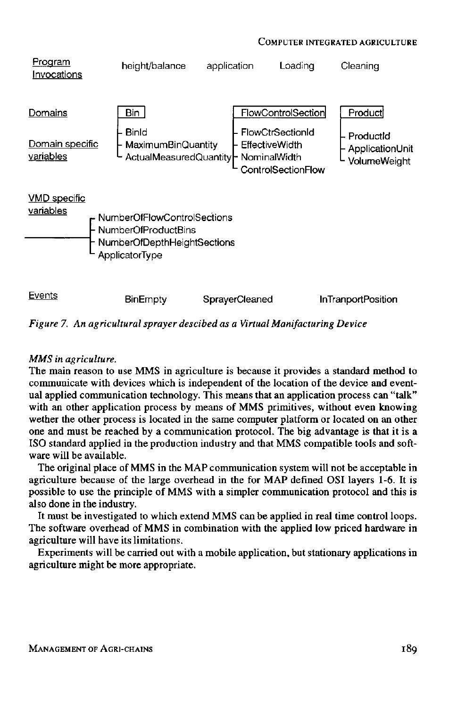#### COMPUTER INTEGRATED AGRICULTURE



*Figure 7. An agricultural sprayer descibed as a Virtual Manifacturing Device* 

## *MMS in agriculture.*

The main reason to use MMS in agriculture is because it provides a standard method to communicate with devices which is independent of the location of the device and eventual applied communication technology. This means that an application process can "talk" with an other application process by means of MMS primitives, without even knowing wether the other process is located in the same computer platform or located on an other one and must be reached by a communication protocol. The big advantage is that it is a ISO standard applied in the production industry and that MMS compatible tools and software will be available.

The original place of MMS in the MAP communication system will not be acceptable in agriculture because of the large overhead in the for MAP defined OSI layers 1-6. It is possible to use the principle of MMS with a simpler communication protocol and this is also done in the industry.

It must be investigated to which extend MMS can be applied in real time control loops. The software overhead of MMS in combination with the applied low priced hardware in agriculture will have its limitations.

Experiments will be carried out with a mobile application, but stationary applications in agriculture might be more appropriate.